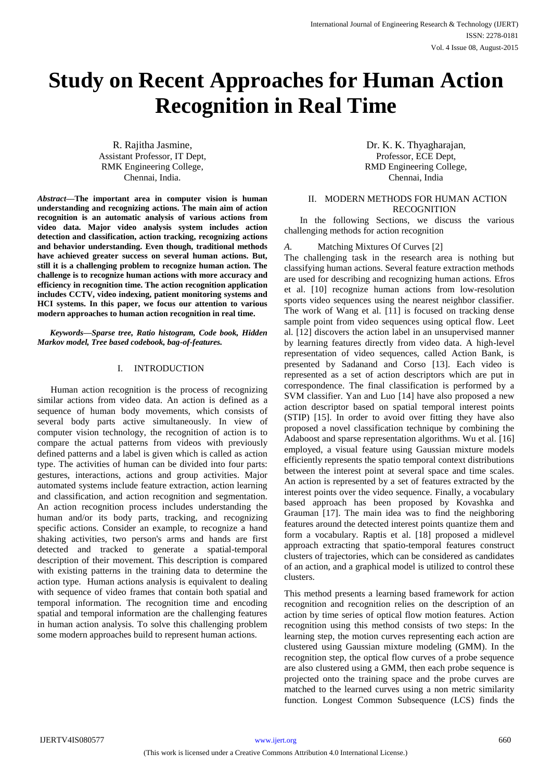# **Study on Recent Approaches for Human Action Recognition in Real Time**

R. Rajitha Jasmine, Assistant Professor, IT Dept, RMK Engineering College, Chennai, India.

*Abstract***—The important area in computer vision is human understanding and recognizing actions. The main aim of action recognition is an automatic analysis of various actions from video data. Major video analysis system includes action detection and classification, action tracking, recognizing actions and behavior understanding. Even though, traditional methods have achieved greater success on several human actions. But, still it is a challenging problem to recognize human action. The challenge is to recognize human actions with more accuracy and efficiency in recognition time. The action recognition application includes CCTV, video indexing, patient monitoring systems and HCI systems. In this paper, we focus our attention to various modern approaches to human action recognition in real time.** 

*Keywords***—***Sparse tree, Ratio histogram, Code book, Hidden Markov model, Tree based codebook, bag-of-features.*

## I. INTRODUCTION

Human action recognition is the process of recognizing similar actions from video data. An action is defined as a sequence of human body movements, which consists of several body parts active simultaneously. In view of computer vision technology, the recognition of action is to compare the actual patterns from videos with previously defined patterns and a label is given which is called as action type. The activities of human can be divided into four parts: gestures, interactions, actions and group activities. Major automated systems include feature extraction, action learning and classification, and action recognition and segmentation. An action recognition process includes understanding the human and/or its body parts, tracking, and recognizing specific actions. Consider an example, to recognize a hand shaking activities, two person's arms and hands are first detected and tracked to generate a spatial-temporal description of their movement. This description is compared with existing patterns in the training data to determine the action type. Human actions analysis is equivalent to dealing with sequence of video frames that contain both spatial and temporal information. The recognition time and encoding spatial and temporal information are the challenging features in human action analysis. To solve this challenging problem some modern approaches build to represent human actions.

Dr. K. K. Thyagharajan, Professor, ECE Dept, RMD Engineering College, Chennai, India

## II. MODERN METHODS FOR HUMAN ACTION **RECOGNITION**

In the following Sections, we discuss the various challenging methods for action recognition

## *A.* Matching Mixtures Of Curves [2]

The challenging task in the research area is nothing but classifying human actions. Several feature extraction methods are used for describing and recognizing human actions. Efros et al. [10] recognize human actions from low-resolution sports video sequences using the nearest neighbor classifier. The work of Wang et al. [11] is focused on tracking dense sample point from video sequences using optical flow. Leet al. [12] discovers the action label in an unsupervised manner by learning features directly from video data. A high-level representation of video sequences, called Action Bank, is presented by Sadanand and Corso [13]. Each video is represented as a set of action descriptors which are put in correspondence. The final classification is performed by a SVM classifier. Yan and Luo [14] have also proposed a new action descriptor based on spatial temporal interest points (STIP) [15]. In order to avoid over fitting they have also proposed a novel classification technique by combining the Adaboost and sparse representation algorithms. Wu et al. [16] employed, a visual feature using Gaussian mixture models efficiently represents the spatio temporal context distributions between the interest point at several space and time scales. An action is represented by a set of features extracted by the interest points over the video sequence. Finally, a vocabulary based approach has been proposed by Kovashka and Grauman [17]. The main idea was to find the neighboring features around the detected interest points quantize them and form a vocabulary. Raptis et al. [18] proposed a midlevel approach extracting that spatio-temporal features construct clusters of trajectories, which can be considered as candidates of an action, and a graphical model is utilized to control these clusters.

This method presents a learning based framework for action recognition and recognition relies on the description of an action by time series of optical flow motion features. Action recognition using this method consists of two steps: In the learning step, the motion curves representing each action are clustered using Gaussian mixture modeling (GMM). In the recognition step, the optical flow curves of a probe sequence are also clustered using a GMM, then each probe sequence is projected onto the training space and the probe curves are matched to the learned curves using a non metric similarity function. Longest Common Subsequence (LCS) finds the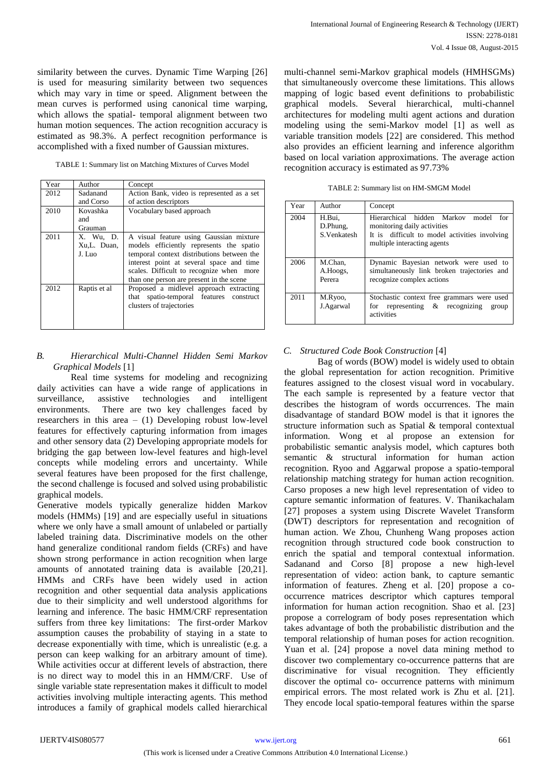similarity between the curves. Dynamic Time Warping [26] is used for measuring similarity between two sequences which may vary in time or speed. Alignment between the mean curves is performed using canonical time warping, which allows the spatial- temporal alignment between two human motion sequences. The action recognition accuracy is estimated as 98.3%. A perfect recognition performance is accomplished with a fixed number of Gaussian mixtures.

TABLE 1: Summary list on Matching Mixtures of Curves Model

| Year | Author       | Concept                                    |
|------|--------------|--------------------------------------------|
| 2012 | Sadanand     | Action Bank, video is represented as a set |
|      | and Corso    | of action descriptors                      |
| 2010 | Kovashka     | Vocabulary based approach                  |
|      | and          |                                            |
|      | Grauman      |                                            |
| 2011 | X. Wu, D.    | A visual feature using Gaussian mixture    |
|      | Xu,L. Duan,  | models efficiently represents the spatio   |
|      | J. Luo       | temporal context distributions between the |
|      |              | interest point at several space and time   |
|      |              | scales. Difficult to recognize when more   |
|      |              | than one person are present in the scene   |
| 2012 | Raptis et al | Proposed a midlevel approach extracting    |
|      |              | that spatio-temporal features construct    |
|      |              | clusters of trajectories                   |
|      |              |                                            |
|      |              |                                            |

# *B. Hierarchical Multi-Channel Hidden Semi Markov Graphical Models* [1]

Real time systems for modeling and recognizing daily activities can have a wide range of applications in surveillance, assistive technologies and intelligent environments. There are two key challenges faced by researchers in this area – (1) Developing robust low-level features for effectively capturing information from images and other sensory data (2) Developing appropriate models for bridging the gap between low-level features and high-level concepts while modeling errors and uncertainty. While several features have been proposed for the first challenge, the second challenge is focused and solved using probabilistic graphical models.

Generative models typically generalize hidden Markov models (HMMs) [19] and are especially useful in situations where we only have a small amount of unlabeled or partially labeled training data. Discriminative models on the other hand generalize conditional random fields (CRFs) and have shown strong performance in action recognition when large amounts of annotated training data is available [20,21]. HMMs and CRFs have been widely used in action recognition and other sequential data analysis applications due to their simplicity and well understood algorithms for learning and inference. The basic HMM/CRF representation suffers from three key limitations: The first-order Markov assumption causes the probability of staying in a state to decrease exponentially with time, which is unrealistic (e.g. a person can keep walking for an arbitrary amount of time). While activities occur at different levels of abstraction, there is no direct way to model this in an HMM/CRF. Use of single variable state representation makes it difficult to model activities involving multiple interacting agents. This method introduces a family of graphical models called hierarchical

multi-channel semi-Markov graphical models (HMHSGMs) that simultaneously overcome these limitations. This allows mapping of logic based event definitions to probabilistic graphical models. Several hierarchical, multi-channel architectures for modeling multi agent actions and duration modeling using the semi-Markov model [1] as well as variable transition models [22] are considered. This method also provides an efficient learning and inference algorithm based on local variation approximations. The average action recognition accuracy is estimated as 97.73%

| TABLE 2: Summary list on HM-SMGM Model |  |  |
|----------------------------------------|--|--|

| Year | Author                             | Concept                                                                                                                                                   |
|------|------------------------------------|-----------------------------------------------------------------------------------------------------------------------------------------------------------|
| 2004 | H.Bui.<br>D.Phung,<br>S. Venkatesh | Hierarchical hidden Markov<br>model<br>for<br>monitoring daily activities<br>It is difficult to model activities involving<br>multiple interacting agents |
| 2006 | M.Chan.<br>A.Hoogs,<br>Perera      | Dynamic Bayesian network were used to<br>simultaneously link broken trajectories and<br>recognize complex actions                                         |
| 2011 | M.Ryoo,<br>J.Agarwal               | Stochastic context free grammars were used<br>representing & recognizing<br>for<br>group<br>activities                                                    |

# *C. Structured Code Book Construction* [4]

Bag of words (BOW) model is widely used to obtain the global representation for action recognition. Primitive features assigned to the closest visual word in vocabulary. The each sample is represented by a feature vector that describes the histogram of words occurrences. The main disadvantage of standard BOW model is that it ignores the structure information such as Spatial & temporal contextual information. Wong et al propose an extension for probabilistic semantic analysis model, which captures both semantic & structural information for human action recognition. Ryoo and Aggarwal propose a spatio-temporal relationship matching strategy for human action recognition. Carso proposes a new high level representation of video to capture semantic information of features. V. Thanikachalam [27] proposes a system using Discrete Wavelet Transform (DWT) descriptors for representation and recognition of human action. We Zhou, Chunheng Wang proposes action recognition through structured code book construction to enrich the spatial and temporal contextual information. Sadanand and Corso [8] propose a new high-level representation of video: action bank, to capture semantic information of features. Zheng et al. [20] propose a cooccurrence matrices descriptor which captures temporal information for human action recognition. Shao et al. [23] propose a correlogram of body poses representation which takes advantage of both the probabilistic distribution and the temporal relationship of human poses for action recognition. Yuan et al. [24] propose a novel data mining method to discover two complementary co-occurrence patterns that are discriminative for visual recognition. They efficiently discover the optimal co- occurrence patterns with minimum empirical errors. The most related work is Zhu et al. [21]. They encode local spatio-temporal features within the sparse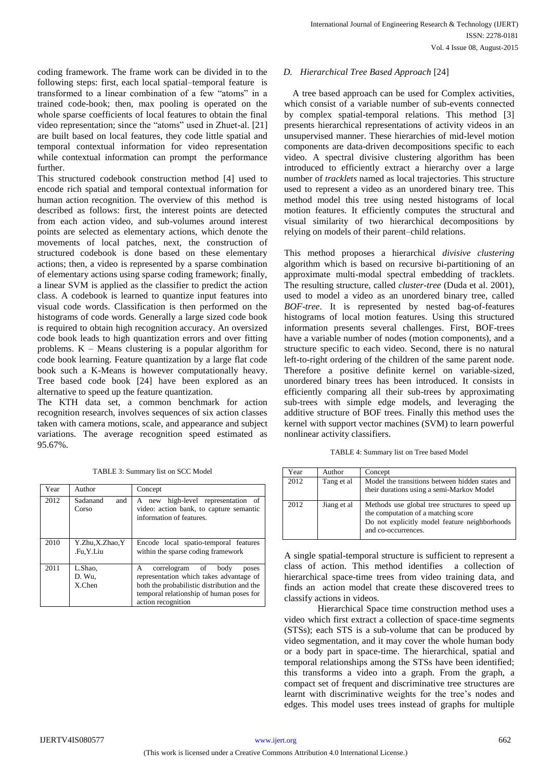coding framework. The frame work can be divided in to the following steps: first, each local spatial–temporal feature is transformed to a linear combination of a few "atoms" in a trained code-book; then, max pooling is operated on the whole sparse coefficients of local features to obtain the final video representation; since the "atoms" used in Zhuet-al. [21] are built based on local features, they code little spatial and temporal contextual information for video representation while contextual information can prompt the performance further.

This structured codebook construction method [4] used to encode rich spatial and temporal contextual information for human action recognition. The overview of this method is described as follows: first, the interest points are detected from each action video, and sub-volumes around interest points are selected as elementary actions, which denote the movements of local patches, next, the construction of structured codebook is done based on these elementary actions; then, a video is represented by a sparse combination of elementary actions using sparse coding framework; finally, a linear SVM is applied as the classifier to predict the action class. A codebook is learned to quantize input features into visual code words. Classification is then performed on the histograms of code words. Generally a large sized code book is required to obtain high recognition accuracy. An oversized code book leads to high quantization errors and over fitting problems. K – Means clustering is a popular algorithm for code book learning. Feature quantization by a large flat code book such a K-Means is however computationally heavy. Tree based code book [24] have been explored as an alternative to speed up the feature quantization.

The KTH data set, a common benchmark for action recognition research, involves sequences of six action classes taken with camera motions, scale, and appearance and subject variations. The average recognition speed estimated as 95.67%.

| TABLE 3: Summary list on SCC Model |
|------------------------------------|
|------------------------------------|

| Year | Author                        | Concept                                                                                                                                                                                       |  |
|------|-------------------------------|-----------------------------------------------------------------------------------------------------------------------------------------------------------------------------------------------|--|
| 2012 | Sadanand<br>and<br>Corso      | high-level representation of<br>A<br>new<br>video: action bank, to capture semantic<br>information of features.                                                                               |  |
| 2010 | Y.Zhu, X.Zhao, Y<br>.Fu.Y.Liu | Encode local spatio-temporal features<br>within the sparse coding framework                                                                                                                   |  |
| 2011 | L.Shao.<br>D. Wu.<br>X.Chen   | correlogram of body<br>A<br>poses<br>representation which takes advantage of<br>both the probabilistic distribution and the<br>temporal relationship of human poses for<br>action recognition |  |

### *D. Hierarchical Tree Based Approach* [24]

A tree based approach can be used for Complex activities, which consist of a variable number of sub-events connected by complex spatial-temporal relations. This method [3] presents hierarchical representations of activity videos in an unsupervised manner. These hierarchies of mid-level motion components are data-driven decompositions specific to each video. A spectral divisive clustering algorithm has been introduced to efficiently extract a hierarchy over a large number of *tracklets* named as local trajectories. This structure used to represent a video as an unordered binary tree. This method model this tree using nested histograms of local motion features. It efficiently computes the structural and visual similarity of two hierarchical decompositions by relying on models of their parent–child relations.

This method proposes a hierarchical *divisive clustering*  algorithm which is based on recursive bi-partitioning of an approximate multi-modal spectral embedding of tracklets. The resulting structure, called *cluster-tree* (Duda et al. 2001), used to model a video as an unordered binary tree, called *BOF-tree*. It is represented by nested bag-of-features histograms of local motion features. Using this structured information presents several challenges. First, BOF-trees have a variable number of nodes (motion components), and a structure specific to each video. Second, there is no natural left-to-right ordering of the children of the same parent node. Therefore a positive definite kernel on variable-sized, unordered binary trees has been introduced. It consists in efficiently comparing all their sub-trees by approximating sub-trees with simple edge models, and leveraging the additive structure of BOF trees. Finally this method uses the kernel with support vector machines (SVM) to learn powerful nonlinear activity classifiers.

| TABLE 4: Summary list on Tree based Model |  |  |
|-------------------------------------------|--|--|
|-------------------------------------------|--|--|

| Year | Author      | Concept                                                                                                                                                       |
|------|-------------|---------------------------------------------------------------------------------------------------------------------------------------------------------------|
| 2012 | Tang et al  | Model the transitions between hidden states and<br>their durations using a semi-Markov Model                                                                  |
| 2012 | Jiang et al | Methods use global tree structures to speed up<br>the computation of a matching score<br>Do not explicitly model feature neighborhoods<br>and co-occurrences. |

A single spatial-temporal structure is sufficient to represent a class of action. This method identifies a collection of hierarchical space-time trees from video training data, and finds an action model that create these discovered trees to classify actions in videos.

Hierarchical Space time construction method uses a video which first extract a collection of space-time segments (STSs); each STS is a sub-volume that can be produced by video segmentation, and it may cover the whole human body or a body part in space-time. The hierarchical, spatial and temporal relationships among the STSs have been identified; this transforms a video into a graph. From the graph, a compact set of frequent and discriminative tree structures are learnt with discriminative weights for the tree's nodes and edges. This model uses trees instead of graphs for multiple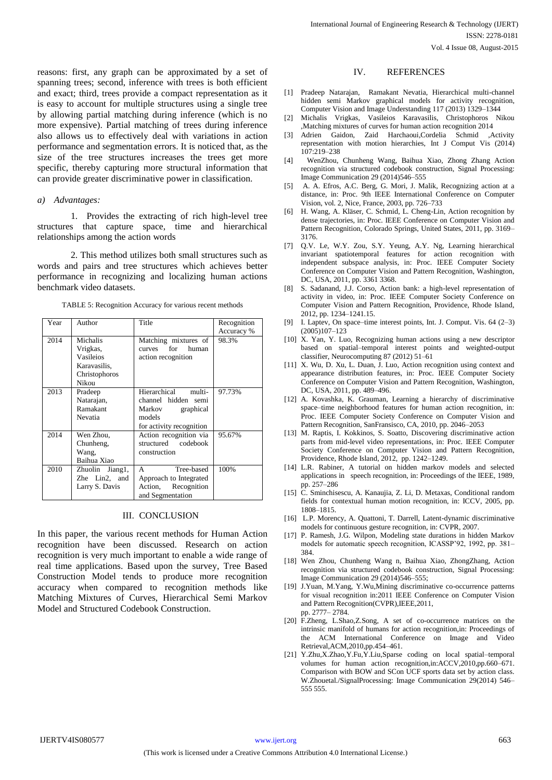Vol. 4 Issue 08, August-2015

reasons: first, any graph can be approximated by a set of spanning trees; second, inference with trees is both efficient and exact; third, trees provide a compact representation as it is easy to account for multiple structures using a single tree by allowing partial matching during inference (which is no more expensive). Partial matching of trees during inference also allows us to effectively deal with variations in action performance and segmentation errors. It is noticed that, as the size of the tree structures increases the trees get more specific, thereby capturing more structural information that can provide greater discriminative power in classification.

## *a) Advantages:*

1. Provides the extracting of rich high-level tree structures that capture space, time and hierarchical relationships among the action words

2. This method utilizes both small structures such as words and pairs and tree structures which achieves better performance in recognizing and localizing human actions benchmark video datasets.

| TABLE 5: Recognition Accuracy for various recent methods |  |  |
|----------------------------------------------------------|--|--|
|----------------------------------------------------------|--|--|

| Year | Author                                                                      | Title                                                                                                         | Recognition |
|------|-----------------------------------------------------------------------------|---------------------------------------------------------------------------------------------------------------|-------------|
|      |                                                                             |                                                                                                               | Accuracy %  |
| 2014 | Michalis<br>Vrigkas,<br>Vasileios<br>Karavasilis,<br>Christophoros<br>Nikou | Matching mixtures of<br>for<br>human<br>curves<br>action recognition                                          | 98.3%       |
| 2013 | Pradeep<br>Natarajan,<br>Ramakant<br>Nevatia                                | Hierarchical<br>multi-<br>channel hidden<br>semi<br>Markov<br>graphical<br>models<br>for activity recognition | 97.73%      |
| 2014 | Wen Zhou,<br>Chunheng,<br>Wang,<br>Baihua Xiao                              | Action recognition via<br>codebook<br>structured<br>construction                                              | 95.67%      |
| 2010 | Zhuolin<br>Jiang1,<br>Zhe Lin2, and<br>Larry S. Davis                       | Tree-based<br>A<br>Approach to Integrated<br>Recognition<br>Action,<br>and Segmentation                       | 100%        |

#### III. CONCLUSION

In this paper, the various recent methods for Human Action recognition have been discussed. Research on action recognition is very much important to enable a wide range of real time applications. Based upon the survey, Tree Based Construction Model tends to produce more recognition accuracy when compared to recognition methods like Matching Mixtures of Curves, Hierarchical Semi Markov Model and Structured Codebook Construction.

#### IV. REFERENCES

- [1] Pradeep Natarajan, Ramakant Nevatia, Hierarchical multi-channel hidden semi Markov graphical models for activity recognition, Computer Vision and Image Understanding 117 (2013) 1329–1344
- [2] Michalis Vrigkas, Vasileios Karavasilis, Christophoros Nikou ,Matching mixtures of curves for human action recognition 2014
- [3] Adrien Gaidon, Zaid Harchaoui,Cordelia Schmid ,Activity representation with motion hierarchies, Int J Comput Vis (2014) 107:219–238
- [4] WenZhou, Chunheng Wang, Baihua Xiao, Zhong Zhang Action recognition via structured codebook construction, Signal Processing: Image Communication 29 (2014)546–555
- [5] A. A. Efros, A.C. Berg, G. Mori, J. Malik, Recognizing action at a distance, in: Proc. 9th IEEE International Conference on Computer Vision, vol. 2, Nice, France, 2003, pp. 726–733
- [6] H. Wang, A. Kläser, C. Schmid, L. Cheng-Lin, Action recognition by dense trajectories, in: Proc. IEEE Conference on Computer Vision and Pattern Recognition, Colorado Springs, United States, 2011, pp. 3169– 3176.
- [7] Q.V. Le, W.Y. Zou, S.Y. Yeung, A.Y. Ng, Learning hierarchical invariant spatiotemporal features for action recognition with independent subspace analysis, in: Proc. IEEE Computer Society Conference on Computer Vision and Pattern Recognition, Washington, DC, USA, 2011, pp. 3361 3368.
- [8] S. Sadanand, J.J. Corso, Action bank: a high-level representation of activity in video, in: Proc. IEEE Computer Society Conference on Computer Vision and Pattern Recognition, Providence, Rhode Island, 2012, pp. 1234–1241.15.
- [9] I. Laptev, On space–time interest points, Int. J. Comput. Vis. 64 (2–3)  $(2005)107 - 123$
- [10] X. Yan, Y. Luo, Recognizing human actions using a new descriptor based on spatial–temporal interest points and weighted-output classifier, Neurocomputing 87 (2012) 51–61
- [11] X. Wu, D. Xu, L. Duan, J. Luo, Action recognition using context and appearance distribution features, in: Proc. IEEE Computer Society Conference on Computer Vision and Pattern Recognition, Washington, DC, USA, 2011, pp. 489–496.
- [12] A. Kovashka, K. Grauman, Learning a hierarchy of discriminative space–time neighborhood features for human action recognition, in: Proc. IEEE Computer Society Conference on Computer Vision and Pattern Recognition, SanFransisco, CA, 2010, pp. 2046–2053
- [13] M. Raptis, I. Kokkinos, S. Soatto, Discovering discriminative action parts from mid-level video representations, in: Proc. IEEE Computer Society Conference on Computer Vision and Pattern Recognition, Providence, Rhode Island, 2012, pp. 1242–1249.
- [14] L.R. Rabiner, A tutorial on hidden markov models and selected applications in speech recognition, in: Proceedings of the IEEE, 1989, pp. 257–286
- [15] C. Sminchisescu, A. Kanaujia, Z. Li, D. Metaxas, Conditional random fields for contextual human motion recognition, in: ICCV, 2005, pp. 1808–1815.
- [16] L.P. Morency, A. Quattoni, T. Darrell, Latent-dynamic discriminative models for continuous gesture recognition, in: CVPR, 2007.
- [17] P. Ramesh, J.G. Wilpon, Modeling state durations in hidden Markov models for automatic speech recognition, ICASSP'92, 1992, pp. 381– 384.
- [18] Wen Zhou, Chunheng Wang n, Baihua Xiao, ZhongZhang, Action recognition via structured codebook construction, Signal Processing: Image Communication 29 (2014)546–555;
- [19] J.Yuan, M.Yang, Y.Wu,Mining discriminative co-occurrence patterns for visual recognition in:2011 IEEE Conference on Computer Vision and Pattern Recognition(CVPR),IEEE,2011, pp. 2777– 2784.
- [20] F.Zheng, L.Shao,Z.Song, A set of co-occurrence matrices on the intrinsic manifold of humans for action recognition,in: Proceedings of the ACM International Conference on Image and Video Retrieval,ACM,2010,pp.454–461.
- [21] Y.Zhu,X.Zhao,Y.Fu,Y.Liu,Sparse coding on local spatial–temporal volumes for human action recognition,in:ACCV,2010,pp.660–671. Comparison with BOW and SCon UCF sports data set by action class. W.Zhouetal./SignalProcessing: Image Communication 29(2014) 546– 555 555.